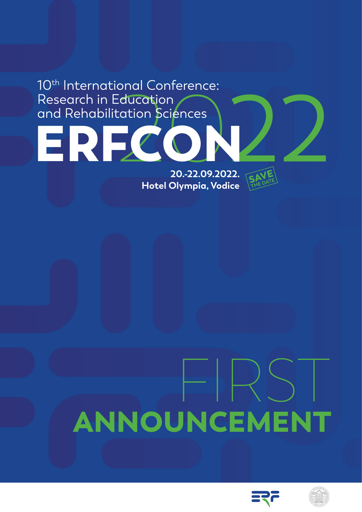ERFCO 10<sup>th</sup> International Conference: Research in Education and Rehabilitation Sciences

#### **20.-22.09.2022. Hotel Olympia, Vodice**

# FIRST ANNOUNCEMENT



SAVE **THE DATE** 

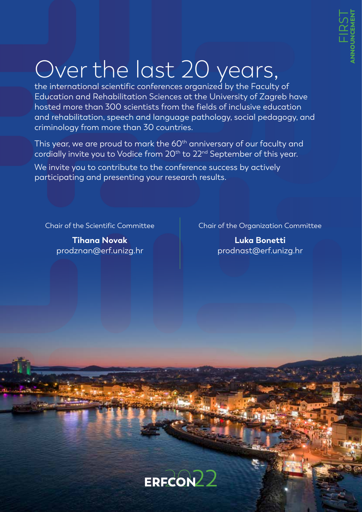### Over the last 20 years,

the international scientific conferences organized by the Faculty of Education and Rehabilitation Sciences at the University of Zagreb have hosted more than 300 scientists from the fields of inclusive education and rehabilitation, speech and language pathology, social pedagogy, and criminology from more than 30 countries.

This year, we are proud to mark the 60<sup>th</sup> anniversary of our faculty and cordially invite you to Vodice from 20<sup>th</sup> to 22<sup>nd</sup> September of this year.

We invite you to contribute to the conference success by actively participating and presenting your research results.

Chair of the Scientific Committee

**Tihana Novak** prodznan@erf.unizg.hr Chair of the Organization Committee

**Luka Bonetti** prodnast@erf.unizg.hr

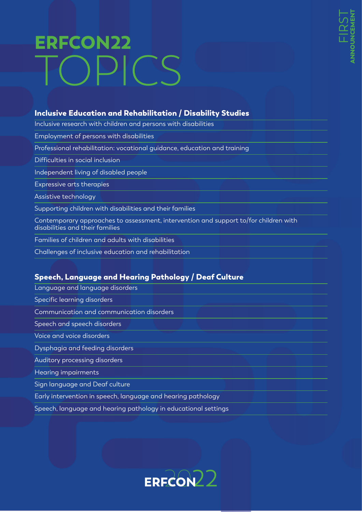## ERFCON22 TOPICS

#### Inclusive Education and Rehabilitation / Disability Studies

Inclusive research with children and persons with disabilities

Employment of persons with disabilities

Professional rehabilitation: vocational guidance, education and training

Difficulties in social inclusion

Independent living of disabled people

Expressive arts therapies

Assistive technology

Supporting children with disabilities and their families

Contemporary approaches to assessment, intervention and support to/for children with disabilities and their families

Families of children and adults with disabilities

Challenges of inclusive education and rehabilitation

#### Speech, Language and Hearing Pathology / Deaf Culture

Language and language disorders

Specific learning disorders

Communication and communication disorders

Speech and speech disorders

Voice and voice disorders

Dysphagia and feeding disorders

Auditory processing disorders

Hearing impairments

Sign language and Deaf culture

Early intervention in speech, language and hearing pathology

Speech, language and hearing pathology in educational settings

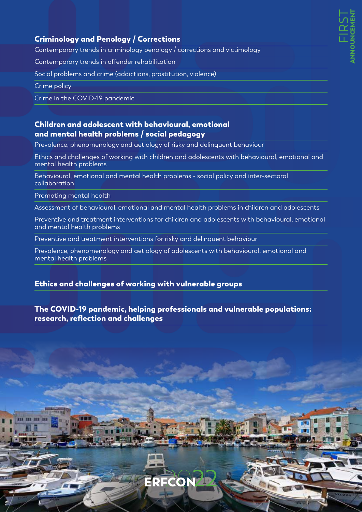#### Criminology and Penology / Corrections

Contemporary trends in criminology penology / corrections and victimology

Contemporary trends in offender rehabilitation

Social problems and crime (addictions, prostitution, violence)

Crime policy

Crime in the COVID-19 pandemic

#### Children and adolescent with behavioural, emotional and mental health problems / social pedagogy

Prevalence, phenomenology and aetiology of risky and delinquent behaviour

Ethics and challenges of working with children and adolescents with behavioural, emotional and mental health problems

Behavioural, emotional and mental health problems - social policy and inter-sectoral collaboration

Promoting mental health

111 111 111

Assessment of behavioural, emotional and mental health problems in children and adolescents

Preventive and treatment interventions for children and adolescents with behavioural, emotional and mental health problems

Preventive and treatment interventions for risky and delinquent behaviour

Prevalence, phenomenology and aetiology of adolescents with behavioural, emotional and mental health problems

#### Ethics and challenges of working with vulnerable groups

#### The COVID-19 pandemic, helping professionals and vulnerable populations: research, reflection and challenges

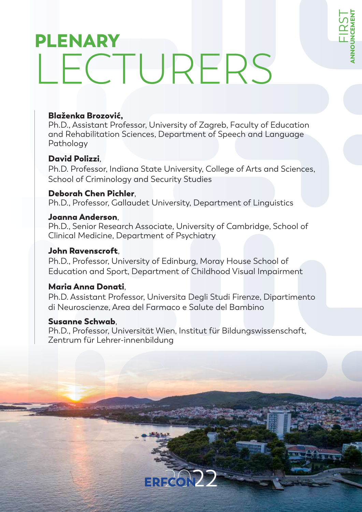### PLENARY LECTURERS

#### Blaženka Brozović,

Ph.D., Assistant Professor, University of Zagreb, Faculty of Education and Rehabilitation Sciences, Department of Speech and Language Pathology

FIRST

**HZENEUZDOZZK** 

#### David Polizzi,

Ph.D. Professor, Indiana State University, College of Arts and Sciences, School of Criminology and Security Studies

#### Deborah Chen Pichler,

Ph.D., Professor, Gallaudet University, Department of Linguistics

#### Joanna Anderson,

Ph.D., Senior Research Associate, University of Cambridge, School of Clinical Medicine, Department of Psychiatry

#### John Ravenscroft,

Ph.D., Professor, University of Edinburg, Moray House School of Education and Sport, Department of Childhood Visual Impairment

#### Maria Anna Donati,

Ph.D. Assistant Professor, Universita Degli Studi Firenze, Dipartimento di Neuroscienze, Area del Farmaco e Salute del Bambino

#### Susanne Schwab,

Ph.D., Professor, Universität Wien, Institut für Bildungswissenschaft, Zentrum für Lehrer-innenbildung

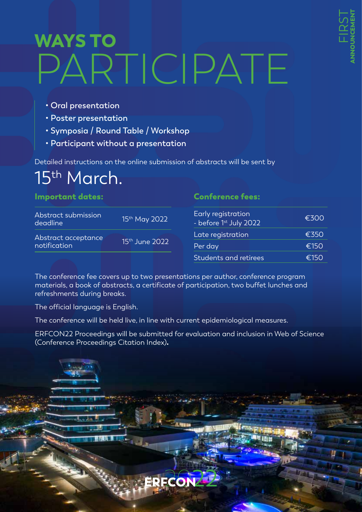- **Oral presentation**
- **Poster presentation**
- **Symposia / Round Table / Workshop**
- **Participant without a presentation**

Detailed instructions on the online submission of abstracts will be sent by

### 15th March.

#### Important dates:

| Abstract submission<br>deadline     | 15th May 2022              |
|-------------------------------------|----------------------------|
| Abstract acceptance<br>notification | 15 <sup>th</sup> June 2022 |

#### Conference fees:

| Early registration<br>- before 1st July 2022 | €300 |
|----------------------------------------------|------|
| Late registration                            | €350 |
| Per day                                      | €150 |
| Students and retirees                        | €150 |

The conference fee covers up to two presentations per author, conference program materials, a book of abstracts, a certificate of participation, two buffet lunches and refreshments during breaks.

The official language is English.

The conference will be held live, in line with current epidemiological measures.

ERFCON22 Proceedings will be submitted for evaluation and inclusion in Web of Science (Conference Proceedings Citation Index).